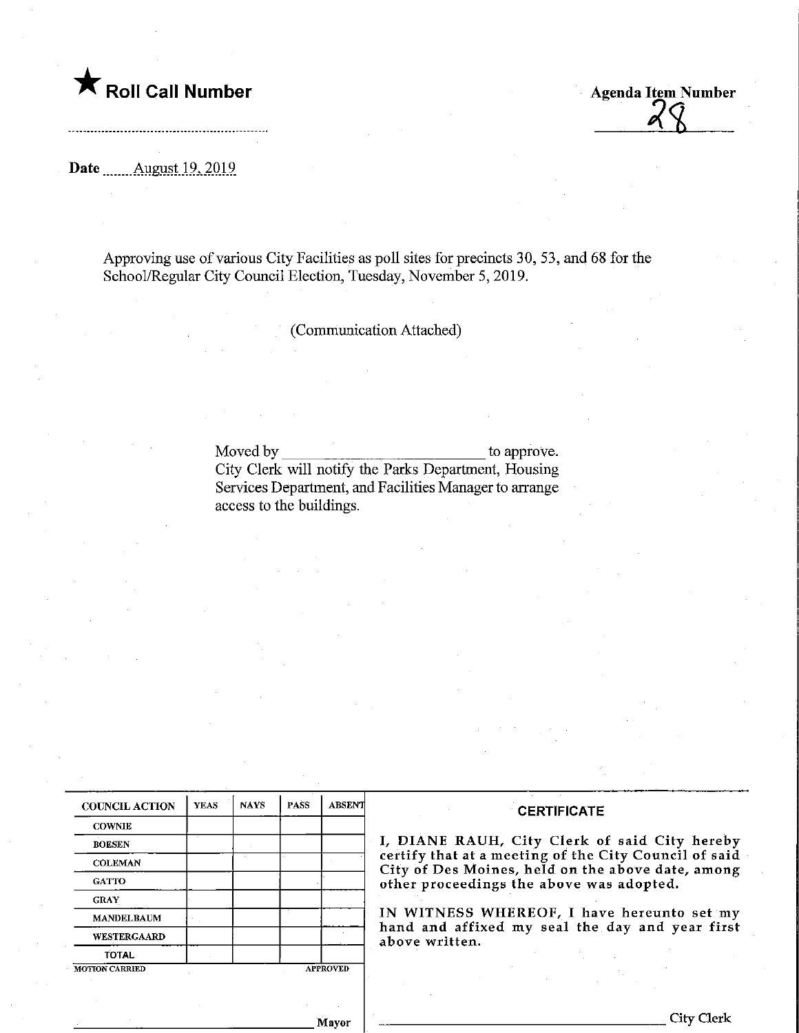

**Agenda Item Number** 

## Date ........ August 19, 2019

Approving use of various City Facilities as poll sites for precincts 30, 53, and 68 for the School/Regular City Council Election, Tuesday, November 5, 2019.

(Communication Attached)

Moved by to approve. City Clerk will notify the Parks Department, Housing Services Department, and Facilities Manager to arrange access to the buildings.

| <b>COUNCIL ACTION</b> | <b>YEAS</b> | <b>NAYS</b>     | PASS | <b>ABSENT</b> |
|-----------------------|-------------|-----------------|------|---------------|
| <b>COWNIE</b>         |             |                 |      |               |
| <b>BOESEN</b>         |             |                 |      |               |
| <b>COLEMAN</b>        |             |                 |      |               |
| <b>GATTO</b>          |             |                 |      |               |
| <b>GRAY</b>           |             |                 |      |               |
| <b>MANDELBAUM</b>     |             |                 |      |               |
| <b>WESTERGAARD</b>    |             |                 |      |               |
| <b>TOTAL</b>          |             |                 |      |               |
| <b>MOTION CARRIED</b> |             | <b>APPROVED</b> |      |               |

## **CERTIFICATE**

I, DIANE RAUH, City Clerk of said City hereby certify that at a meeting of the City Council of said City of Des Moines, held on the above date, among other proceedings the above was adopted.

IN WITNESS WHEREOF, I have hereunto set my hand and affixed my seal the day and year first above written.

Mayor

City Clerk